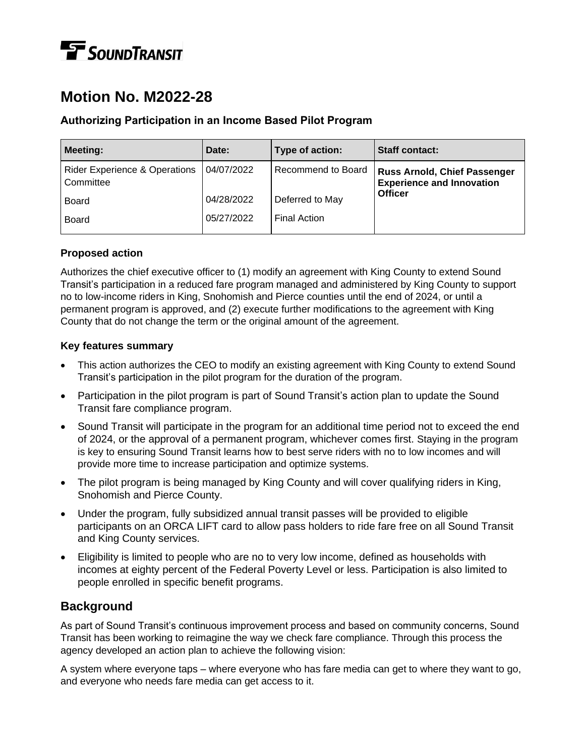# **T** SOUNDTRANSIT

# **Motion No. M2022-28**

#### **Authorizing Participation in an Income Based Pilot Program**

| <b>Meeting:</b>                                       | Date:      | Type of action:     | <b>Staff contact:</b>                                                   |
|-------------------------------------------------------|------------|---------------------|-------------------------------------------------------------------------|
| <b>Rider Experience &amp; Operations</b><br>Committee | 04/07/2022 | Recommend to Board  | <b>Russ Arnold, Chief Passenger</b><br><b>Experience and Innovation</b> |
| <b>Board</b>                                          | 04/28/2022 | Deferred to May     | <b>Officer</b>                                                          |
| <b>Board</b>                                          | 05/27/2022 | <b>Final Action</b> |                                                                         |

#### **Proposed action**

Authorizes the chief executive officer to (1) modify an agreement with King County to extend Sound Transit's participation in a reduced fare program managed and administered by King County to support no to low-income riders in King, Snohomish and Pierce counties until the end of 2024, or until a permanent program is approved, and (2) execute further modifications to the agreement with King County that do not change the term or the original amount of the agreement.

#### **Key features summary**

- This action authorizes the CEO to modify an existing agreement with King County to extend Sound Transit's participation in the pilot program for the duration of the program.
- Participation in the pilot program is part of Sound Transit's action plan to update the Sound Transit fare compliance program.
- Sound Transit will participate in the program for an additional time period not to exceed the end of 2024, or the approval of a permanent program, whichever comes first. Staying in the program is key to ensuring Sound Transit learns how to best serve riders with no to low incomes and will provide more time to increase participation and optimize systems.
- The pilot program is being managed by King County and will cover qualifying riders in King, Snohomish and Pierce County.
- Under the program, fully subsidized annual transit passes will be provided to eligible participants on an ORCA LIFT card to allow pass holders to ride fare free on all Sound Transit and King County services.
- Eligibility is limited to people who are no to very low income, defined as households with incomes at eighty percent of the Federal Poverty Level or less. Participation is also limited to people enrolled in specific benefit programs.

#### **Background**

As part of Sound Transit's continuous improvement process and based on community concerns, Sound Transit has been working to reimagine the way we check fare compliance. Through this process the agency developed an action plan to achieve the following vision:

A system where everyone taps – where everyone who has fare media can get to where they want to go, and everyone who needs fare media can get access to it.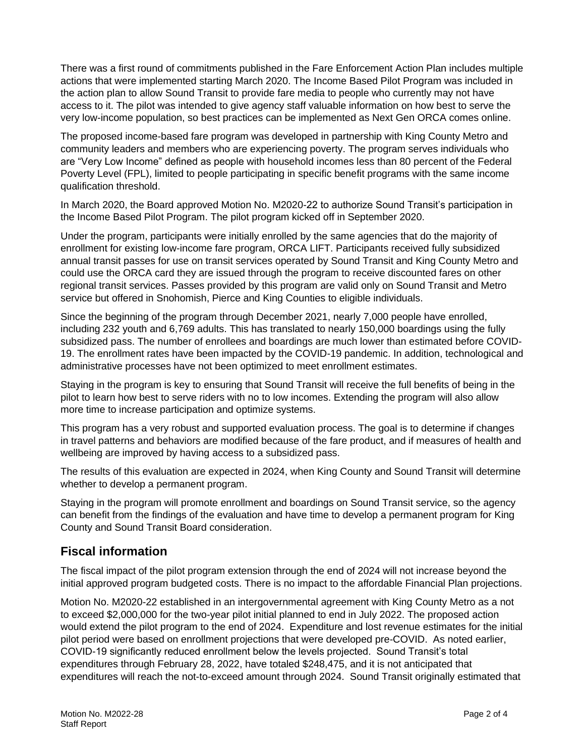There was a first round of commitments published in the Fare Enforcement Action Plan includes multiple actions that were implemented starting March 2020. The Income Based Pilot Program was included in the action plan to allow Sound Transit to provide fare media to people who currently may not have access to it. The pilot was intended to give agency staff valuable information on how best to serve the very low-income population, so best practices can be implemented as Next Gen ORCA comes online.

The proposed income-based fare program was developed in partnership with King County Metro and community leaders and members who are experiencing poverty. The program serves individuals who are "Very Low Income" defined as people with household incomes less than 80 percent of the Federal Poverty Level (FPL), limited to people participating in specific benefit programs with the same income qualification threshold.

In March 2020, the Board approved Motion No. M2020-22 to authorize Sound Transit's participation in the Income Based Pilot Program. The pilot program kicked off in September 2020.

Under the program, participants were initially enrolled by the same agencies that do the majority of enrollment for existing low-income fare program, ORCA LIFT. Participants received fully subsidized annual transit passes for use on transit services operated by Sound Transit and King County Metro and could use the ORCA card they are issued through the program to receive discounted fares on other regional transit services. Passes provided by this program are valid only on Sound Transit and Metro service but offered in Snohomish, Pierce and King Counties to eligible individuals.

Since the beginning of the program through December 2021, nearly 7,000 people have enrolled, including 232 youth and 6,769 adults. This has translated to nearly 150,000 boardings using the fully subsidized pass. The number of enrollees and boardings are much lower than estimated before COVID-19. The enrollment rates have been impacted by the COVID-19 pandemic. In addition, technological and administrative processes have not been optimized to meet enrollment estimates.

Staying in the program is key to ensuring that Sound Transit will receive the full benefits of being in the pilot to learn how best to serve riders with no to low incomes. Extending the program will also allow more time to increase participation and optimize systems.

This program has a very robust and supported evaluation process. The goal is to determine if changes in travel patterns and behaviors are modified because of the fare product, and if measures of health and wellbeing are improved by having access to a subsidized pass.

The results of this evaluation are expected in 2024, when King County and Sound Transit will determine whether to develop a permanent program.

Staying in the program will promote enrollment and boardings on Sound Transit service, so the agency can benefit from the findings of the evaluation and have time to develop a permanent program for King County and Sound Transit Board consideration.

### **Fiscal information**

The fiscal impact of the pilot program extension through the end of 2024 will not increase beyond the initial approved program budgeted costs. There is no impact to the affordable Financial Plan projections.

Motion No. M2020-22 established in an intergovernmental agreement with King County Metro as a not to exceed \$2,000,000 for the two-year pilot initial planned to end in July 2022. The proposed action would extend the pilot program to the end of 2024. Expenditure and lost revenue estimates for the initial pilot period were based on enrollment projections that were developed pre-COVID. As noted earlier, COVID-19 significantly reduced enrollment below the levels projected. Sound Transit's total expenditures through February 28, 2022, have totaled \$248,475, and it is not anticipated that expenditures will reach the not-to-exceed amount through 2024. Sound Transit originally estimated that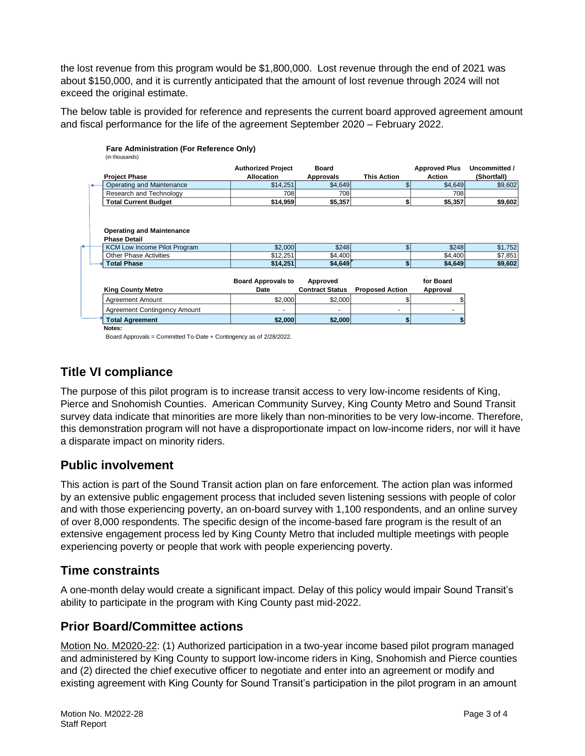the lost revenue from this program would be \$1,800,000. Lost revenue through the end of 2021 was about \$150,000, and it is currently anticipated that the amount of lost revenue through 2024 will not exceed the original estimate.

The below table is provided for reference and represents the current board approved agreement amount and fiscal performance for the life of the agreement September 2020 – February 2022.

|                                                                                         | <b>Authorized Project</b>         | <b>Board</b>                       |                        | <b>Approved Plus</b>  | Uncommitted /      |
|-----------------------------------------------------------------------------------------|-----------------------------------|------------------------------------|------------------------|-----------------------|--------------------|
| <b>Project Phase</b>                                                                    | <b>Allocation</b>                 | Approvals                          | <b>This Action</b>     | Action                | (Shortfall)        |
| Operating and Maintenance                                                               | \$14,251                          | \$4,649                            | S                      | \$4,649               | \$9,602            |
| Research and Technology                                                                 | 708                               | 708                                |                        | 708                   |                    |
| <b>Total Current Budget</b>                                                             | \$14,959                          | \$5,357                            | \$                     | \$5,357               | \$9,602            |
| <b>Operating and Maintenance</b><br><b>Phase Detail</b><br>KCM Low Income Pilot Program | \$2,000                           | \$248                              | $\mathbf{s}$           | \$248                 | \$1,752            |
| Other Phase Activities                                                                  | \$12,251                          | \$4,400                            |                        | \$4,400               |                    |
| <b>Total Phase</b>                                                                      | \$14,251                          | \$4,649                            | \$                     | \$4,649               | \$7,851<br>\$9,602 |
|                                                                                         |                                   |                                    |                        |                       |                    |
| <b>King County Metro</b>                                                                | <b>Board Approvals to</b><br>Date | Approved<br><b>Contract Status</b> | <b>Proposed Action</b> | for Board<br>Approval |                    |
| Agreement Amount                                                                        | \$2,000                           | \$2,000                            | \$                     |                       |                    |
| <b>Agreement Contingency Amount</b>                                                     |                                   |                                    | ٠                      |                       |                    |

Board Approvals = Committed To-Date + Contingency as of 2/28/2022.

## **Title VI compliance**

The purpose of this pilot program is to increase transit access to very low-income residents of King, Pierce and Snohomish Counties. American Community Survey, King County Metro and Sound Transit survey data indicate that minorities are more likely than non-minorities to be very low-income. Therefore, this demonstration program will not have a disproportionate impact on low-income riders, nor will it have a disparate impact on minority riders.

#### **Public involvement**

This action is part of the Sound Transit action plan on fare enforcement. The action plan was informed by an extensive public engagement process that included seven listening sessions with people of color and with those experiencing poverty, an on-board survey with 1,100 respondents, and an online survey of over 8,000 respondents. The specific design of the income-based fare program is the result of an extensive engagement process led by King County Metro that included multiple meetings with people experiencing poverty or people that work with people experiencing poverty.

#### **Time constraints**

A one-month delay would create a significant impact. Delay of this policy would impair Sound Transit's ability to participate in the program with King County past mid-2022.

### **Prior Board/Committee actions**

Motion No. M2020-22: (1) Authorized participation in a two-year income based pilot program managed and administered by King County to support low-income riders in King, Snohomish and Pierce counties and (2) directed the chief executive officer to negotiate and enter into an agreement or modify and existing agreement with King County for Sound Transit's participation in the pilot program in an amount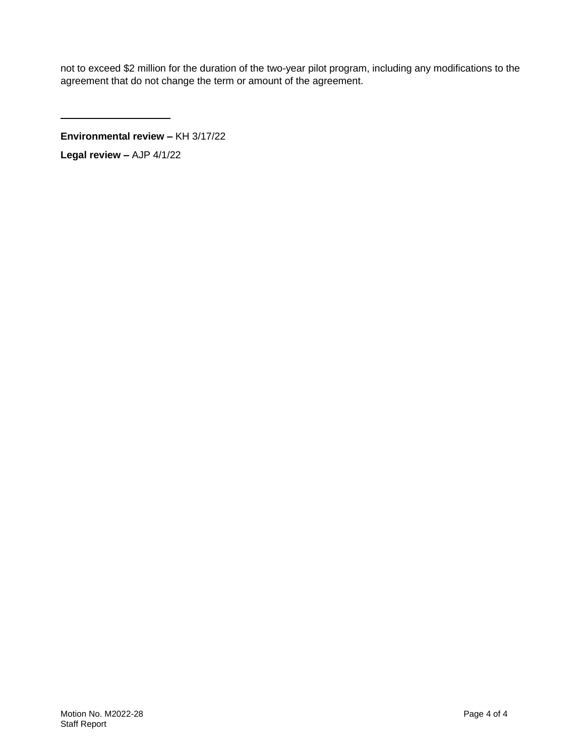not to exceed \$2 million for the duration of the two-year pilot program, including any modifications to the agreement that do not change the term or amount of the agreement.

**Environmental review –** KH 3/17/22

**Legal review –** AJP 4/1/22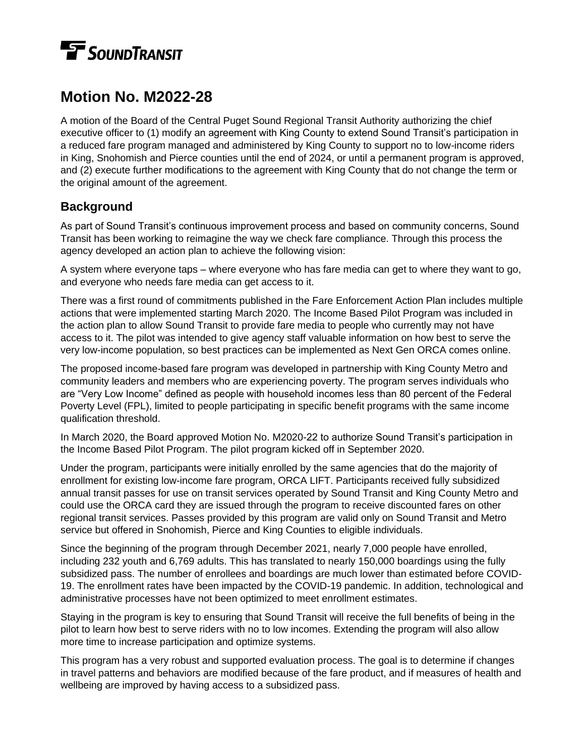# **TE** SOUNDTRANSIT

# **Motion No. M2022-28**

A motion of the Board of the Central Puget Sound Regional Transit Authority authorizing the chief executive officer to (1) modify an agreement with King County to extend Sound Transit's participation in a reduced fare program managed and administered by King County to support no to low-income riders in King, Snohomish and Pierce counties until the end of 2024, or until a permanent program is approved, and (2) execute further modifications to the agreement with King County that do not change the term or the original amount of the agreement.

## **Background**

As part of Sound Transit's continuous improvement process and based on community concerns, Sound Transit has been working to reimagine the way we check fare compliance. Through this process the agency developed an action plan to achieve the following vision:

A system where everyone taps – where everyone who has fare media can get to where they want to go, and everyone who needs fare media can get access to it.

There was a first round of commitments published in the Fare Enforcement Action Plan includes multiple actions that were implemented starting March 2020. The Income Based Pilot Program was included in the action plan to allow Sound Transit to provide fare media to people who currently may not have access to it. The pilot was intended to give agency staff valuable information on how best to serve the very low-income population, so best practices can be implemented as Next Gen ORCA comes online.

The proposed income-based fare program was developed in partnership with King County Metro and community leaders and members who are experiencing poverty. The program serves individuals who are "Very Low Income" defined as people with household incomes less than 80 percent of the Federal Poverty Level (FPL), limited to people participating in specific benefit programs with the same income qualification threshold.

In March 2020, the Board approved Motion No. M2020-22 to authorize Sound Transit's participation in the Income Based Pilot Program. The pilot program kicked off in September 2020.

Under the program, participants were initially enrolled by the same agencies that do the majority of enrollment for existing low-income fare program, ORCA LIFT. Participants received fully subsidized annual transit passes for use on transit services operated by Sound Transit and King County Metro and could use the ORCA card they are issued through the program to receive discounted fares on other regional transit services. Passes provided by this program are valid only on Sound Transit and Metro service but offered in Snohomish, Pierce and King Counties to eligible individuals.

Since the beginning of the program through December 2021, nearly 7,000 people have enrolled, including 232 youth and 6,769 adults. This has translated to nearly 150,000 boardings using the fully subsidized pass. The number of enrollees and boardings are much lower than estimated before COVID-19. The enrollment rates have been impacted by the COVID-19 pandemic. In addition, technological and administrative processes have not been optimized to meet enrollment estimates.

Staying in the program is key to ensuring that Sound Transit will receive the full benefits of being in the pilot to learn how best to serve riders with no to low incomes. Extending the program will also allow more time to increase participation and optimize systems.

This program has a very robust and supported evaluation process. The goal is to determine if changes in travel patterns and behaviors are modified because of the fare product, and if measures of health and wellbeing are improved by having access to a subsidized pass.